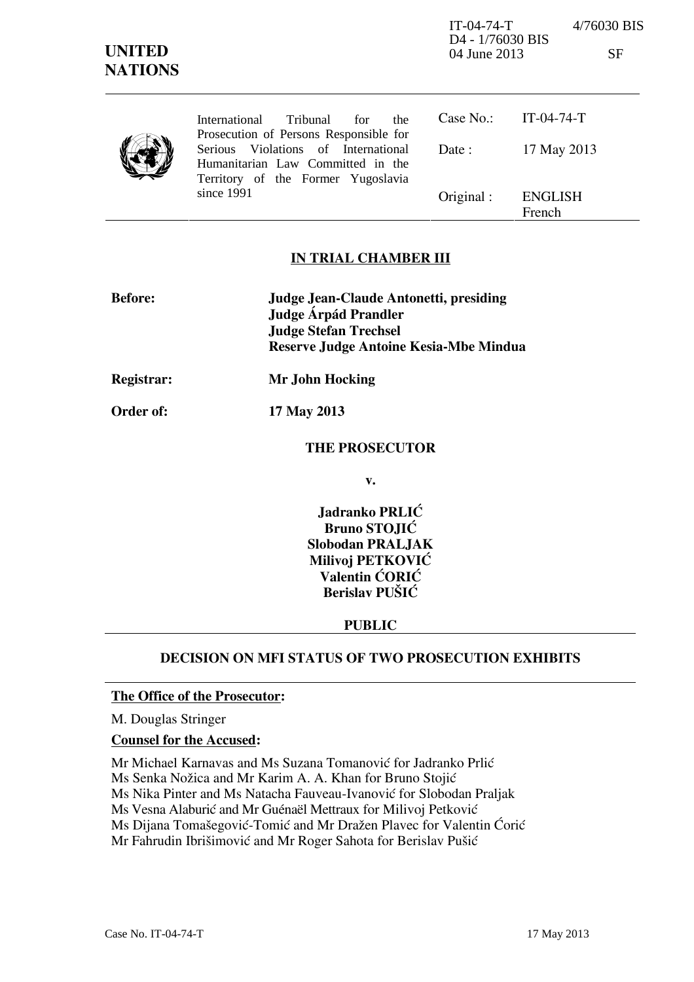IT-04-74-T 4/76030 BIS

D4 - 1/76030 BIS 04 June 2013 SF

|  | International Tribunal<br>for<br>the.<br>Prosecution of Persons Responsible for                                |            | Case No.: $IT-04-74-T$   |
|--|----------------------------------------------------------------------------------------------------------------|------------|--------------------------|
|  | Serious Violations of International<br>Humanitarian Law Committed in the<br>Territory of the Former Yugoslavia | Date :     | 17 May 2013              |
|  | since 1991                                                                                                     | Original : | <b>ENGLISH</b><br>French |

## **IN TRIAL CHAMBER III**

| <b>Before:</b> | Judge Jean-Claude Antonetti, presiding<br>Judge Árpád Prandler         |  |
|----------------|------------------------------------------------------------------------|--|
|                | <b>Judge Stefan Trechsel</b><br>Reserve Judge Antoine Kesia-Mbe Mindua |  |
| Registrar:     | Mr John Hocking                                                        |  |

**Order of: 17 May 2013** 

### **THE PROSECUTOR**

**v.** 

**Jadranko PRLIĆ Bruno STOJIĆ Slobodan PRALJAK Milivoj PETKOVIĆ Valentin ĆORIĆ Berislav PUŠIĆ** 

## **PUBLIC**

# **DECISION ON MFI STATUS OF TWO PROSECUTION EXHIBITS**

#### **The Office of the Prosecutor:**

M. Douglas Stringer

#### **Counsel for the Accused:**

Mr Michael Karnavas and Ms Suzana Tomanović for Jadranko Prlić Ms Senka Nožica and Mr Karim A. A. Khan for Bruno Stojić Ms Nika Pinter and Ms Natacha Fauveau-Ivanović for Slobodan Praljak Ms Vesna Alaburić and Mr Guénaël Mettraux for Milivoj Petković Ms Dijana Tomašegović-Tomić and Mr Dražen Plavec for Valentin Ćorić Mr Fahrudin Ibrišimović and Mr Roger Sahota for Berislav Pušić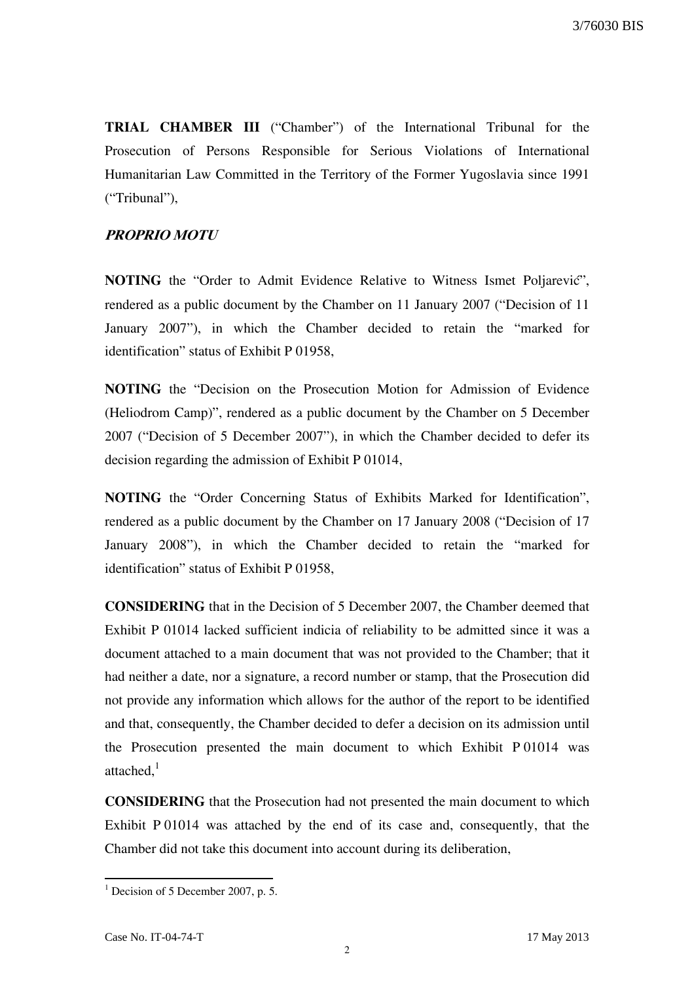**TRIAL CHAMBER III** ("Chamber") of the International Tribunal for the Prosecution of Persons Responsible for Serious Violations of International Humanitarian Law Committed in the Territory of the Former Yugoslavia since 1991 ("Tribunal"),

#### **PROPRIO MOTU**

**NOTING** the "Order to Admit Evidence Relative to Witness Ismet Poljarevic", rendered as a public document by the Chamber on 11 January 2007 ("Decision of 11 January 2007"), in which the Chamber decided to retain the "marked for identification" status of Exhibit P 01958,

**NOTING** the "Decision on the Prosecution Motion for Admission of Evidence (Heliodrom Camp)", rendered as a public document by the Chamber on 5 December 2007 ("Decision of 5 December 2007"), in which the Chamber decided to defer its decision regarding the admission of Exhibit P 01014,

**NOTING** the "Order Concerning Status of Exhibits Marked for Identification", rendered as a public document by the Chamber on 17 January 2008 ("Decision of 17 January 2008"), in which the Chamber decided to retain the "marked for identification" status of Exhibit P 01958,

**CONSIDERING** that in the Decision of 5 December 2007, the Chamber deemed that Exhibit P 01014 lacked sufficient indicia of reliability to be admitted since it was a document attached to a main document that was not provided to the Chamber; that it had neither a date, nor a signature, a record number or stamp, that the Prosecution did not provide any information which allows for the author of the report to be identified and that, consequently, the Chamber decided to defer a decision on its admission until the Prosecution presented the main document to which Exhibit P 01014 was attached, $^1$ 

**CONSIDERING** that the Prosecution had not presented the main document to which Exhibit P 01014 was attached by the end of its case and, consequently, that the Chamber did not take this document into account during its deliberation,

 1 Decision of 5 December 2007, p. 5.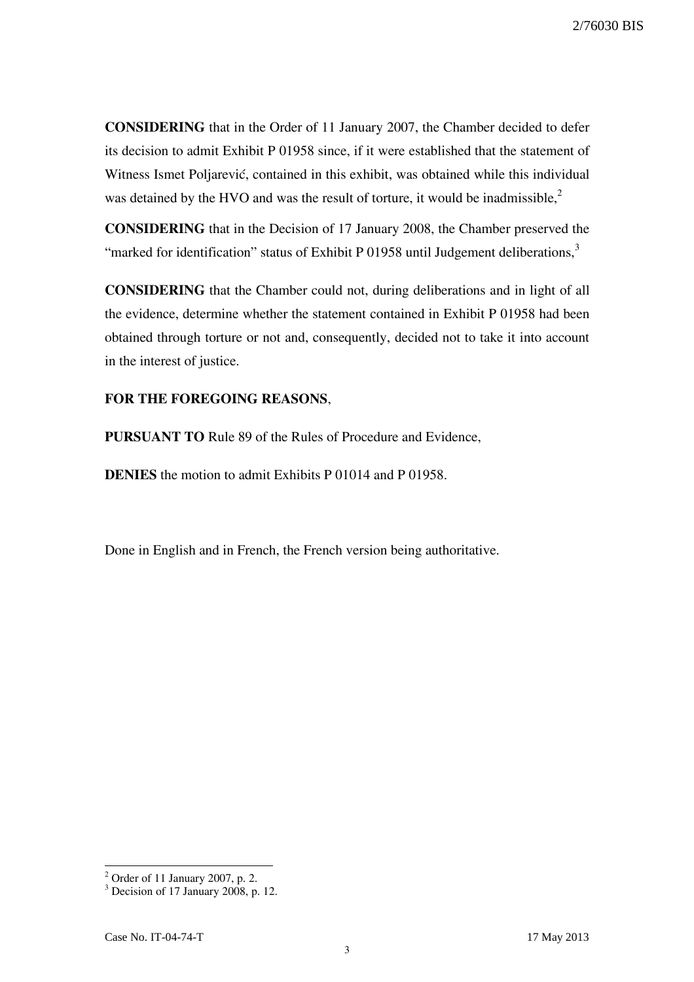**CONSIDERING** that in the Order of 11 January 2007, the Chamber decided to defer its decision to admit Exhibit P 01958 since, if it were established that the statement of Witness Ismet Poljarević, contained in this exhibit, was obtained while this individual was detained by the HVO and was the result of torture, it would be inadmissible, $2$ 

**CONSIDERING** that in the Decision of 17 January 2008, the Chamber preserved the "marked for identification" status of Exhibit P 01958 until Judgement deliberations, $3\overline{3}$ 

**CONSIDERING** that the Chamber could not, during deliberations and in light of all the evidence, determine whether the statement contained in Exhibit P 01958 had been obtained through torture or not and, consequently, decided not to take it into account in the interest of justice.

## **FOR THE FOREGOING REASONS**,

**PURSUANT TO** Rule 89 of the Rules of Procedure and Evidence,

**DENIES** the motion to admit Exhibits P 01014 and P 01958.

Done in English and in French, the French version being authoritative.

<sup>&</sup>lt;sup>2</sup> Order of 11 January 2007, p. 2.

<sup>&</sup>lt;sup>3</sup> Decision of 17 January 2008, p. 12.